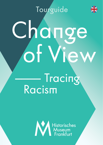**Tourguide** 

# **Tracing Racism** Change<br>Of View

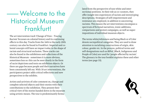# ——— Welcome to the Historical Museum Frankfurt!

The art intervention track 'Change of View – Tracing Racism' focusses on colonial history and its continuing effects to this day. Tracks from the 16th to the early 20th century can also be found in Frankfurt. Imperial and colonial concepts still have an impact today in the shape of racism and structural exclusion. These tracks can also be found in the exhibitions and collections of the Historical Museum - sometimes it is more obvious, sometimes less so: this can be seen clearly in the form of racist depictions and texts on exhibition objects. Or there are gaps because people and their narratives have been consistently left out. With 18 art interventions, the participatory project adds critical reflections and new perspectives to the exhibits.

Artists and activists of color comment on, change and complete selected objects and their stories with their contributions to the exhibition. They present their critical view of the stories handed down in the museum using artistic means. The tour is predominantly formulated from the perspective of non-white and intersectional positions. In their role as co-curators, they offer insight into experiences of racism and stereotyping descriptions. Strategies of self-empowerment and resistance are employed, in addition to uncovering racisms. This means the art interventions encompass a spectrum of fictional narratives, ironic additions, comparisons and protest campaigns, as well as superimpositions of individual museum objects.

The terms white/whiteness and being Black or of Color denote sociopolitical categories. They are used to draw attention to racialising constructions of origin, skin colour, gender etc. In the process, political terms and self-designations such as BIPoC (Black, Indigenous and People of Color) are used for 'people affected by racism'. The glossary in the tour booklet explains these and other terms (see page 33).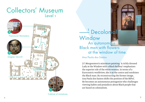

Cabinet of miniatures

 $\overline{\phantom{a}}$  Decolonial **Window** An autonomous Black man with flowers at the window of time. 1

Ana Paula dos Santos

J.F. Morgenstern's miniature painting 'A richly dressed Lady at the Window with a Black Bellboy' emphasizes the superior role of the white woman. In terms of a Eurocentric worldview, she is at the centre and outshines the Black man. By reconstructing the former image, Ana Paula dos Santos shifts the position of the BIPoC. He becomes an autonomous protagonist who challenges viewing habits and prejudices about Black people that are based on colonialism.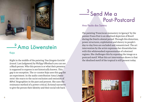

### — <sup>2</sup> Ama Löwenstein Kaja 2

Right in the middle of the painting 'Das Jüngste Gericht' (transl. Last Judgment) by Philipp Uffenbach you can see a Black person. Who this person is or what their presence is supposed to express is not historically known. This gap is no exception. The co-curator Kaja uses this gap for an experiment. In the audio contribution 'Ama Löwenstein' she reacts to the racist exclusion and omission of BIPoC biographies in the past and present. She uses the resistance method of a power-critical, fictional narrative to give the person their identity and their social role back.

# — <sup>э</sup>Send Me a Post-Postcard 3

Ana Paula dos Santos

The painting 'Franciscan monastery in Igaraçú' by the painter Frans Post is an idealised depiction of Brazil during the Dutch colonial period. Through this distortion, power structures, exploitation and slavery in people's day-to-day lives are excluded and romanticised. The art intervention by the artist expresses her dissatisfaction with this whitewashed representation of colonised regions. She challenges this by exposing the image as a postcard motif. What this art intervention shows is that the idealised motif of the tropical is still present today.

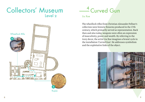

Rupee

— <sup>4</sup> Curved Gun 4

Liu Xue

The wheellock rifles from Christian Alexander Fellner's collection were historic firearms produced in the 17th century, which primarily served as representation. Back then and also today, weapons were often an expression of masculinity, power and wealth. By referring to the ivory decor, the artist Liu Xue imagines a brutal cycle in the installation 'Curved Gun'. He addresses symbolism and the exploitative links of the object.

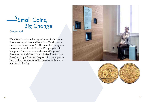# $\frac{1}{2}$ Small Coins, Big Change  $\frac{5}{5}$ S $\overline{5}$ Gladys Burk

World War I created a shortage of money in the former German colony of German East Africa. This led to the local production of coins. In 1916, so-called emergency coins were minted, including the 15-rupee gold coins. In a generational conversation between Kenya and Germany, the Burk-Obachi Machoka family reflects on the colonial significance of the gold coin. The impact on local trading systems, as well as personal and cultural practices to this day.



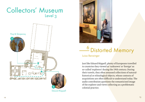





### ——<sup>o</sup> Distorted Memory 6

### Luisa Benzinger

Just like Eduard Rüppell, plenty of Europeans travelled to countries they viewed as 'unknown' or 'foreign' as so-called 'explorers' during the 19th century. During their travels, they often amassed collections of naturalhistorical or ethnological objects, whose contexts of acquisitions are often difficult to understand today. The audio contribution questions the romanticised image of the explorer and views collecting as a problematic colonial practice.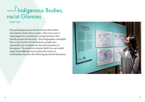# — Indigenous Bodies, racist Glances 7

Halil Can

Poq and Quiperoq were the first Inuits from West Greenland to leave their country. They were sent to Copenhagen by a missionary and presented to the Danish people and the king. Their biographies exemplify how, in the context of colonisation, people were repeatedly put on display for the entertainment of Europeans. The political scientist Halil Can uses world maps from different eras to show the extent of colonisation, but also the following decolonial liberation.

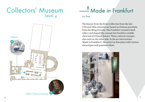

### — <sup>o</sup>Made in Frankfurt 8

Liu Xue

The faience from the Kratz Collection from the late 17th and 18th centuries are based on Chinese porcelain from the Ming Dynasty. The Frankfurt ceramics both reflect and shaped the concept the Frankfurt middle class had of Chinese faience. These cultural concepts also exist on the other side. In the art intervention 'Made in Frankfurt', the artist Liu Xue plays with various stereotypes and questions them.

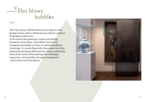# $\frac{9}{2}$ Ebo blows bubbles 9

### Kaja

The 17th century still life shows luxury objects in the background as well as a Black person without a name or biographical references.

At the time of the painting's creation and during European colonisation, many BIPoC lived in rich European households as slaves or exoticised subjects of prestige. Co-curator Kaja shifts the perspective of the painting by giving the Black person a name and placing them at the centre of the painting. She challenges hegemonic viewing habits through a transparent curtain that covers the objects.

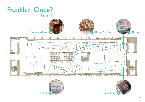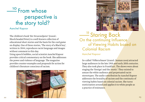# $\frac{10}{2}$ From whose perspective is the story told? 10

### Aanchel Kapoor

The children's book '*Der Struwwelpeter'* (transl.: Shock-headed Peter) is a well-known collection of educational short stories and the basis for the card game on display. One of these stories, 'The story of a Black boy', written in 1844, reproduces racist language and images without comment to this day.

Using speech bubbles, social scientist Aanchel Kapoor provides critical commentary on the book. She addresses the power and violence of language. The magazine provides counter-examples and proposals for action for children's literature conscious of racism.





**Marking Back** On the continuing Influence of Viewing Habits based on Colonial Racism

### Aanchel Kapoor

So-called *'Völkerschauen'* (transl.: human zoos) attracted large audiences in the late 19th and early 20th centuries. They also took place in Frankfurt. The shows were about staging the 'foreign' and the 'exotic'. They existed to amuse the white audience and perpetuated racist stereotypes. The audio contribution by Aanchel Kapoor addresses the brutality of racism and the continuity of viewing habits based on colonial racism. She turns exoticisation around and applies it to white people as a practice of resistance.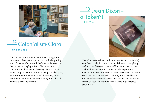

### <u>— <sup>12</sup> Colonialism-Clara</u> 12

Amina Boujnah

The Dutch captain Mout van der Meer brought the rhinoceros Clara to Europe in 1741. In the beginning, it was for scientific research, before van der Meer put the animal on display at fairs all over Europe. The image on display and the story of Clara the rhino show Europe's colonial interests. Using a pocket quiz, co-curator Amina Boujnah playfully conveys information and content on colonial history and colonial continuities in the present.

### — <sup>із</sup> Dean Dixon – a Token?! Halil Can 13

The African-American conductor Dean Dixon (1915-1976) was the first Black conductor to lead the radio symphony orchestra of the Hessischer Rundfunk from 1961 to 1974. Although Dixon left the USA because he experienced racism, he also encountered racism in Germany. Co-curator Halil Can questions whether equality is achieved by the museum showing Dean Dixon's portrait without comment. Or is a critical commentary necessary to expose racist structures?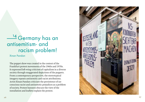# —<sup>14</sup> Germany has an antisemitism- and racism problem! 14

Xinan Pandan

The puppet show was created in the context of the Frankfurt protest movements of the 1960s and 1970s. It expressed left-wing criticism of capitalism in a diverse society through exaggerated depictions of the puppets. From a contemporary perspective, the stereotypical imagery repeats antisemitic and racist attributions. Artist Xinan Pandan criticizes the persistence of un conscious racist and antisemitic prejudices as a problem of society. Protest banners obscure the view of the installation and leaflets explain the protest.

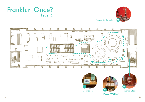



Frankfurter Ratssilber

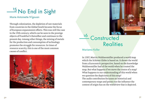### <sup>-----</sup>-No End in Sight 15

### Marie Antoinette N'gouan

Through colonisation, the depletion of raw materials from countries in the Global South became the focus of European expansionist efforts. This was still the case in the 19th century, which can be seen in the prestige objects of Frankfurt's Ratssilber and continues to the present day. Among other things, the mining of metals for the production and consumption of technology promotes the struggle for resources. In times of resource scarcity, this is one of the most common causes of conflict.





# <u>— Constructed</u> **Realities** 16

### Mariama Koller

In 1507, Martin Waldseemüller produced a world map which the Schöner Globe is based on. It shows the world from a Eurocentric perspective, based on the knowledge Waldseemüller had of the world when he created the map. But what happens if we move the centre of a map? What happens to our understanding of this world when we question the depictions of this map? The audio contribution focusses on historical and contemporary maps and points out the influence the context of origin has on the worldview that is depicted.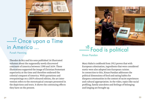

# — <sup>17</sup> Опсе ироп а Тіте in America … 17

Puneh Henning

Theodor de Bry and his sons published 16 illustrated volumes about the supposedly newly discovered continent of America between 1590 and 1634. These illustrations supported the image of Christian Protestant superiority at the time and therefore endorsed the colonial conquest of America. With quotations and overpaintings on a 2019 coloured edition, the art intervention refers to the stereotypical concepts presented in the depictions and texts. It shows the continuing effects they have on the present.



### <sup>10</sup> Food is political 18

Xinan Pandan

Mary Hahn's cookbook from 1912 proves that with European colonisation, ingredients that were considered exotic were also adopted into European cuisine. In connection to this, Xinan Pandan addresses the political dimensions of food and eating habits for diaspora communities in the context of racist experiences and cultural appropriation. In the video, topics like racial profiling, family anecdotes and feelings of belonging and longing are brought up.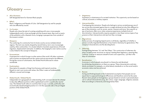# Glossary ———

#### **Afro-Germans:**

Self-designated term for German Black people.

#### **BIPoC:**

Black, Indigenous and People of Color. Self-designation by and for people who are affected by racism.

#### **Co-Curator:**

People who share the task of curating something with one or more people. Independently and in close exchange with the museum team, they work on parts of the exhibition with a thematic focus, bringing in perspectives from outside of the museum context.

#### **Diaspora:**

The scattering of a community from its home country across multiple distant regions. The term was mainly shaped by Jewish history, but is now increasingly used by other communities. It is closely linked to traumatic experiences of forced migration, displacement and exile. In addition, the longing for one's native country is also linked to the concept of diaspora.

#### **Eurocentrism:**

A perspective in which Europe is at the centre of the world. All other continents and countries are distanced from this centre and are perceived to be different. During the course of colonisation, the Global North enforced its values worldwide.

#### **Exoticisation:**

Description for people or things from faraway and tropical countries. Based on one's own norms and values, the Other is seen as fundamentally different, unusual and strange.

#### **Global South / Global North:**

Independent of a geographical understanding, both concepts denote the attempt to describe different positions within a globalised world in a politically neutral way. The Global South refers to countries that occupy a socially, politically and economically disadvantaged position in it. On the opposite side is the privileged position of the Global North.

#### **Hegemony:**

Supremacy or dominance of a societal institution. This superiority can be based on cultural, economic or military aspects.

#### **Intersectionality:**

Overlapping discrimination. People who belong to various societal groups are often not just discriminated against due to a single attribute but also face different types of discrimination, such as racism, sexism, classism and more. Very specific types of exclusion often occur when someone experiences multiple forms of discrimination. Intersectionality requires people to view these various types of oppression at their intersections and see how they converge.

#### **Migranticise:**

Active process of assigning migrant parts or attributes, regardless of whether a person actually migrated themselves or has lived in Germany for generations. Phenotypical characteristics are the deciding factor.

#### **Othering:**

Distinguishing between 'Us' and 'the Others'. This construction of otherness displays societal power structures as natural, lending them legitimacy, meaning they continue. It serves to reassure oneself of one's own superiority – just like in the days of colonialism.

#### **Racialisation:**

A process in which people are placed in a hierarchy and devalued by attributing characteristics to them as a group. These characteristics and standards are based, for example, on white beauty standards or on the social and/or economic status one has achieved.

#### **Racism:**

Acting and thinking based on the fundamental assumption that people are not equal due to supposed biological differences and therefore cannot be the same. Racism views people as homogeneous groups based on actual or perceived physical or cultural characteristics (e.g. skin colour, origin, language, religion), assesses them according to a hierarchy and marginalises them.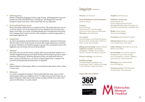#### **Self-designation:**

Reality is shaped by language and the usage of terms. Self-designations are terms people use to describe themselves or their group. Self-designations and selfascriptions reject racist terms, which means they are very important.

#### **Structural/Institutional racism:**

Racism should be understood as a societal structure. This means that every one of us carries racisms. In turn, this means that various institutions also function according to racist logic. As a result, racialised people don't just experience discrimination in interpersonal contact, but also in the workplace, on the housing market, in government agencies, etc.

#### **Subalternity**

as a term encompasses several dimensions of exploitation, oppression and power. The term refers to the result of power structures that assign supremacy to a particular group. Subalterns are therefore people or groups who are denied access to this hegemonic part of society and social advancement.

#### **Tokenism:**

describes and criticises the merely symbolic effort to put individual members of a socially marginalised group on an equal footing with mainstream society as representatives of that group. While the dominant society can pride itself with how open, inclusive and diverse it is, an illusion of equal opportunity is created – this conceals and perpetuates the dimensions of inequality.

#### **white:**

Political label for white people. White is a sociopolitical description and is written in lower case.

#### **Whiteness:**

is a social, sociopolitical category. The term describes the many ways in which white people inhabit a privileged position. It is often not perceived in that way. Instead, whiteness is often seen as the societal normality and the norm and in comparison to Blackness, it is rarely named.

## Imprint ———

#### **Director:** Jan Gerchow

**Head of Mediation and Participation:**  Susanne Gesser

#### **Curators:**

Puneh Henning; Mariama Koller, Luisa Benzinger, Marie Antoinette N'gouan (Assistants) **Volunteer:** Amina Boujnah

#### **Co-curators:**

Aanchel Kapoor, Ana Paula dos Santos, Benjamin Burk, Gladys Burk, Halil Can, Kaja, Liu Xue, Xinan Pandan

**Editing and consulting:** Ismahan Wayah, **Collection curators:** Frank Berger, Wolfgang P. Cilleßen, Nina Gorgus, Maren C. Härtel, Dorothee Linnemann

#### **Process coaching:** Julia Albrecht

#### **Exhibition design:**

Groenlandbasel Architektur und Ausstellungs GmbH/ Matthias Schnegg, Ursula Gillmann, Birgit Stachmann

#### **Supported in the program:**





#### **Graphics:** Gardeners.de

**Exhibition construction:**  Atelier deLuxe, AV Kommunikationstechnik GmbH, Messegrafik & Messebau Schreiber e.K., Oschatz Visuelle Medien GmbH&Co KG

**Media:** Natan Alazar, Thomas Schwerdtfeger

**Translation:** Karen Peprah-Gyamfi

**Administration:** Barbara Langfeld, Irma Hoog-Kramar, Anja Tesch

**Public relations:** Karin Berrío, Lena Alt, Bettina Kratz-Ritter

**Social Media:** Ann-Cathrin Agethen, Margherita Foresti, Nina Gorgus, Laura Hollingshaus, Marion Langhans, Sara Nasraty, Christina Ramsch

**Education:** Anne Gemeinhardt, Laura Hollinghaus

**Technical services:** Willi Gubanek, Christof Gold, Timo Stobrawe

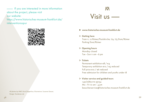If you are interested in more information about the project, please visit our website: https://www.historisches-museum-frankfurt.de/ interventionsspur



All photos by HMF, Horst Ziegenfusz; Illustrations: Susanne Gesser; Design: Gardeners.de



#### **www.historisches-museum-frankfurt.de**

### **Getting here**  Tram 11, 12 Römer/Paulskirche, U4, U5 Dom/Römer Parking Dom/Römer

 **Opening hours** Monday closed Tue – Sun 11 am – 6 pm

#### **Tickets**

Permanent exhibition €8 / €4 Temporary exhibition €10 / €5 reduced Full price €12 / €6 reduced Free admission for children and youths under 18

#### **Visitor service and guided tours**

+49 (0)69 212 35154  $Mo - Fri 10 am - 4 pm$ besucherservice@historisches-museum-frankfurt.de